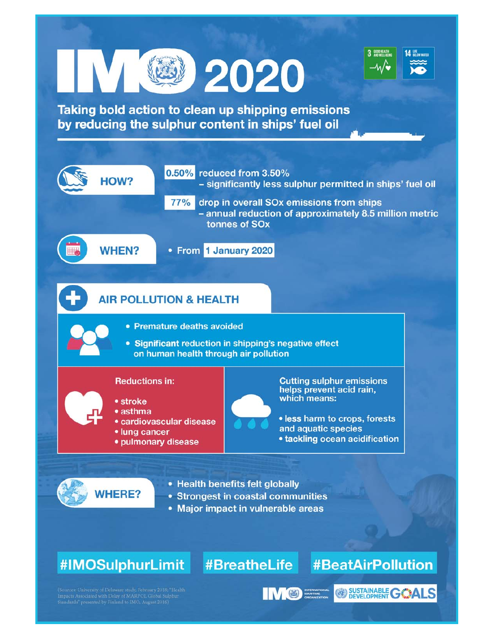Taking bold action to clean up shipping emissions by reducing the sulphur content in ships' fuel oil

**2020** 

3 GOOD HEALTH

–∿/•े

SUSTAINABLE GOALS

**NATIONAL PROPERTY OF SCHOOL** 

14 BELOW WATER

 $\bullet$